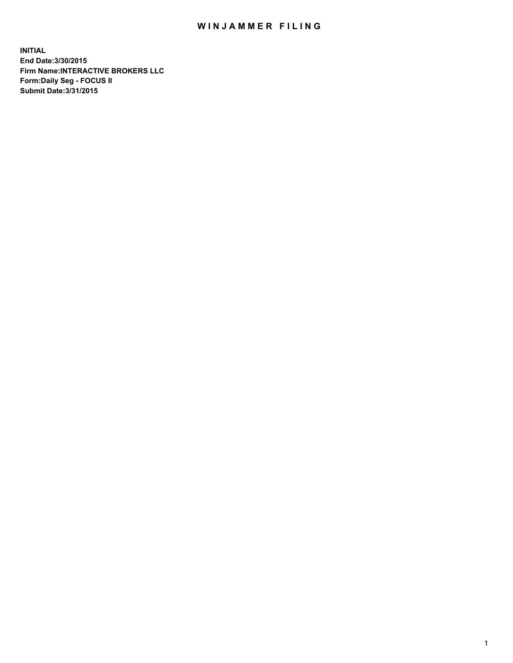## WIN JAMMER FILING

**INITIAL End Date:3/30/2015 Firm Name:INTERACTIVE BROKERS LLC Form:Daily Seg - FOCUS II Submit Date:3/31/2015**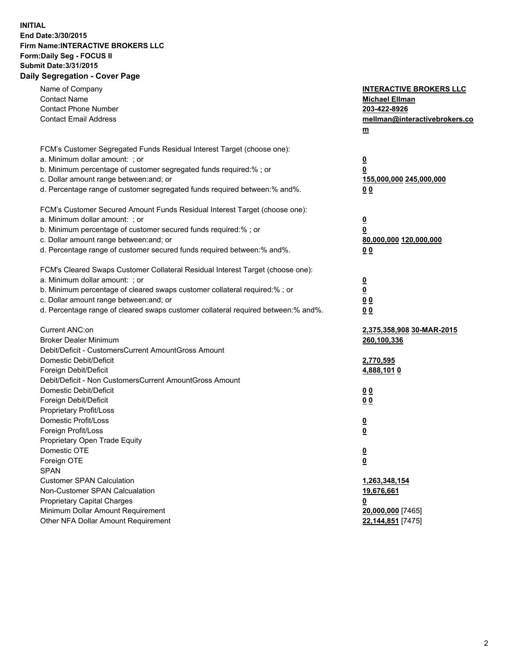## **INITIAL End Date:3/30/2015 Firm Name:INTERACTIVE BROKERS LLC Form:Daily Seg - FOCUS II Submit Date:3/31/2015 Daily Segregation - Cover Page**

| <b>INTERACTIVE BROKERS LLC</b><br><b>Michael Ellman</b><br>203-422-8926<br>mellman@interactivebrokers.co<br>$m$ |
|-----------------------------------------------------------------------------------------------------------------|
| $\overline{\mathbf{0}}$                                                                                         |
| 0                                                                                                               |
| 155,000,000 245,000,000                                                                                         |
| 0 <sub>0</sub>                                                                                                  |
|                                                                                                                 |
| $\overline{\mathbf{0}}$                                                                                         |
| 0                                                                                                               |
| 80,000,000 120,000,000                                                                                          |
| 0 <sub>0</sub>                                                                                                  |
|                                                                                                                 |
| $\overline{\mathbf{0}}$                                                                                         |
| $\overline{\mathbf{0}}$                                                                                         |
| 0 <sub>0</sub>                                                                                                  |
| 0 <sub>0</sub>                                                                                                  |
| 2,375,358,908 30-MAR-2015                                                                                       |
| 260,100,336                                                                                                     |
|                                                                                                                 |
| 2,770,595                                                                                                       |
| 4,888,1010                                                                                                      |
|                                                                                                                 |
| 0 <sub>0</sub>                                                                                                  |
| 0 <sub>0</sub>                                                                                                  |
|                                                                                                                 |
| $\overline{\mathbf{0}}$<br>$\underline{\mathbf{0}}$                                                             |
|                                                                                                                 |
| <u>0</u>                                                                                                        |
| <u>0</u>                                                                                                        |
|                                                                                                                 |
| 1,263,348,154                                                                                                   |
| 19,676,661                                                                                                      |
| <u>0</u>                                                                                                        |
| 20,000,000 [7465]                                                                                               |
| 22,144,851 [7475]                                                                                               |
|                                                                                                                 |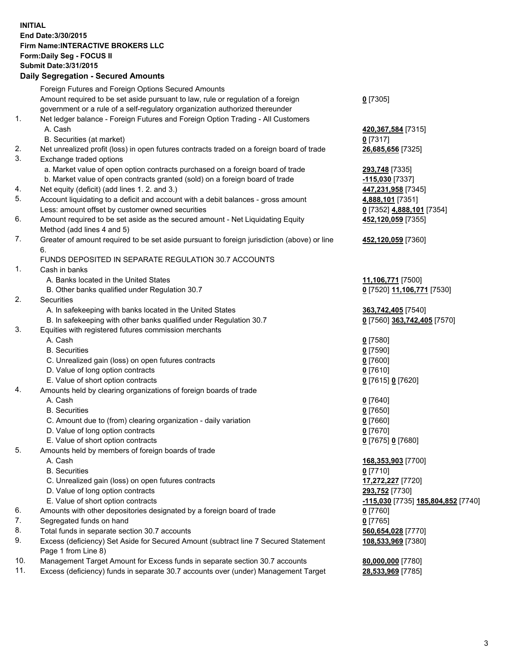## **INITIAL End Date:3/30/2015 Firm Name:INTERACTIVE BROKERS LLC Form:Daily Seg - FOCUS II Submit Date:3/31/2015 Daily Segregation - Secured Amounts**

|     | Dany Ocgregation - Oceanea Amounts                                                                         |                                    |
|-----|------------------------------------------------------------------------------------------------------------|------------------------------------|
|     | Foreign Futures and Foreign Options Secured Amounts                                                        |                                    |
|     | Amount required to be set aside pursuant to law, rule or regulation of a foreign                           | $0$ [7305]                         |
|     | government or a rule of a self-regulatory organization authorized thereunder                               |                                    |
| 1.  | Net ledger balance - Foreign Futures and Foreign Option Trading - All Customers                            |                                    |
|     | A. Cash                                                                                                    | 420, 367, 584 [7315]               |
|     | B. Securities (at market)                                                                                  | $0$ [7317]                         |
| 2.  | Net unrealized profit (loss) in open futures contracts traded on a foreign board of trade                  | 26,685,656 [7325]                  |
| 3.  | Exchange traded options                                                                                    |                                    |
|     | a. Market value of open option contracts purchased on a foreign board of trade                             | 293,748 [7335]                     |
|     | b. Market value of open contracts granted (sold) on a foreign board of trade                               | <u>-115,030</u> [7337]             |
| 4.  | Net equity (deficit) (add lines 1.2. and 3.)                                                               | 447,231,958 [7345]                 |
| 5.  | Account liquidating to a deficit and account with a debit balances - gross amount                          | 4,888,101 [7351]                   |
|     | Less: amount offset by customer owned securities                                                           | 0 [7352] 4,888,101 [7354]          |
| 6.  | Amount required to be set aside as the secured amount - Net Liquidating Equity                             | 452,120,059 [7355]                 |
|     | Method (add lines 4 and 5)                                                                                 |                                    |
| 7.  | Greater of amount required to be set aside pursuant to foreign jurisdiction (above) or line                | 452,120,059 [7360]                 |
|     | 6.                                                                                                         |                                    |
|     | FUNDS DEPOSITED IN SEPARATE REGULATION 30.7 ACCOUNTS                                                       |                                    |
| 1.  | Cash in banks                                                                                              |                                    |
|     | A. Banks located in the United States                                                                      | 11,106,771 [7500]                  |
|     | B. Other banks qualified under Regulation 30.7                                                             | 0 [7520] 11,106,771 [7530]         |
| 2.  | Securities                                                                                                 |                                    |
|     | A. In safekeeping with banks located in the United States                                                  | 363,742,405 [7540]                 |
|     | B. In safekeeping with other banks qualified under Regulation 30.7                                         | 0 [7560] 363,742,405 [7570]        |
| 3.  | Equities with registered futures commission merchants                                                      |                                    |
|     | A. Cash                                                                                                    | $0$ [7580]                         |
|     | <b>B.</b> Securities                                                                                       | $0$ [7590]                         |
|     | C. Unrealized gain (loss) on open futures contracts                                                        | $0$ [7600]                         |
|     | D. Value of long option contracts                                                                          | $0$ [7610]                         |
|     | E. Value of short option contracts                                                                         | 0 [7615] 0 [7620]                  |
| 4.  | Amounts held by clearing organizations of foreign boards of trade                                          |                                    |
|     | A. Cash                                                                                                    | $0$ [7640]                         |
|     | <b>B.</b> Securities                                                                                       | $0$ [7650]                         |
|     | C. Amount due to (from) clearing organization - daily variation                                            | $0$ [7660]                         |
|     | D. Value of long option contracts                                                                          | $0$ [7670]                         |
|     | E. Value of short option contracts                                                                         | 0 [7675] 0 [7680]                  |
| 5.  | Amounts held by members of foreign boards of trade                                                         |                                    |
|     | A. Cash                                                                                                    | 168,353,903 [7700]                 |
|     | <b>B.</b> Securities                                                                                       | $0$ [7710]                         |
|     | C. Unrealized gain (loss) on open futures contracts                                                        | 17,272,227 [7720]                  |
|     | D. Value of long option contracts                                                                          | 293,752 [7730]                     |
|     | E. Value of short option contracts                                                                         | -115,030 [7735] 185,804,852 [7740] |
| 6.  | Amounts with other depositories designated by a foreign board of trade                                     | 0 [7760]                           |
| 7.  | Segregated funds on hand                                                                                   | $0$ [7765]                         |
| 8.  | Total funds in separate section 30.7 accounts                                                              | 560,654,028 [7770]                 |
| 9.  | Excess (deficiency) Set Aside for Secured Amount (subtract line 7 Secured Statement<br>Page 1 from Line 8) | 108,533,969 [7380]                 |
| 10. | Management Target Amount for Excess funds in separate section 30.7 accounts                                | 80,000,000 [7780]                  |
| 11. | Excess (deficiency) funds in separate 30.7 accounts over (under) Management Target                         | 28,533,969 [7785]                  |
|     |                                                                                                            |                                    |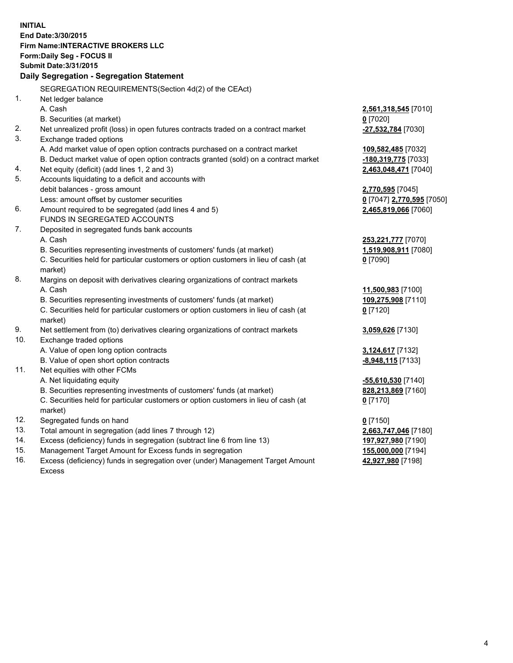**INITIAL End Date:3/30/2015 Firm Name:INTERACTIVE BROKERS LLC Form:Daily Seg - FOCUS II Submit Date:3/31/2015 Daily Segregation - Segregation Statement** SEGREGATION REQUIREMENTS(Section 4d(2) of the CEAct) 1. Net ledger balance A. Cash **2,561,318,545** [7010] B. Securities (at market) **0** [7020] 2. Net unrealized profit (loss) in open futures contracts traded on a contract market **-27,532,784** [7030] 3. Exchange traded options A. Add market value of open option contracts purchased on a contract market **109,582,485** [7032] B. Deduct market value of open option contracts granted (sold) on a contract market **-180,319,775** [7033] 4. Net equity (deficit) (add lines 1, 2 and 3) **2,463,048,471** [7040] 5. Accounts liquidating to a deficit and accounts with debit balances - gross amount **2,770,595** [7045] Less: amount offset by customer securities **0** [7047] **2,770,595** [7050] 6. Amount required to be segregated (add lines 4 and 5) **2,465,819,066** [7060] FUNDS IN SEGREGATED ACCOUNTS 7. Deposited in segregated funds bank accounts A. Cash **253,221,777** [7070] B. Securities representing investments of customers' funds (at market) **1,519,908,911** [7080] C. Securities held for particular customers or option customers in lieu of cash (at market) **0** [7090] 8. Margins on deposit with derivatives clearing organizations of contract markets A. Cash **11,500,983** [7100] B. Securities representing investments of customers' funds (at market) **109,275,908** [7110] C. Securities held for particular customers or option customers in lieu of cash (at market) **0** [7120] 9. Net settlement from (to) derivatives clearing organizations of contract markets **3,059,626** [7130] 10. Exchange traded options A. Value of open long option contracts **3,124,617** [7132] B. Value of open short option contracts **-8,948,115** [7133] 11. Net equities with other FCMs A. Net liquidating equity **-55,610,530** [7140] B. Securities representing investments of customers' funds (at market) **828,213,869** [7160] C. Securities held for particular customers or option customers in lieu of cash (at market) **0** [7170] 12. Segregated funds on hand **0** [7150] 13. Total amount in segregation (add lines 7 through 12) **2,663,747,046** [7180] 14. Excess (deficiency) funds in segregation (subtract line 6 from line 13) **197,927,980** [7190] 15. Management Target Amount for Excess funds in segregation **155,000,000** [7194]

16. Excess (deficiency) funds in segregation over (under) Management Target Amount Excess

**42,927,980** [7198]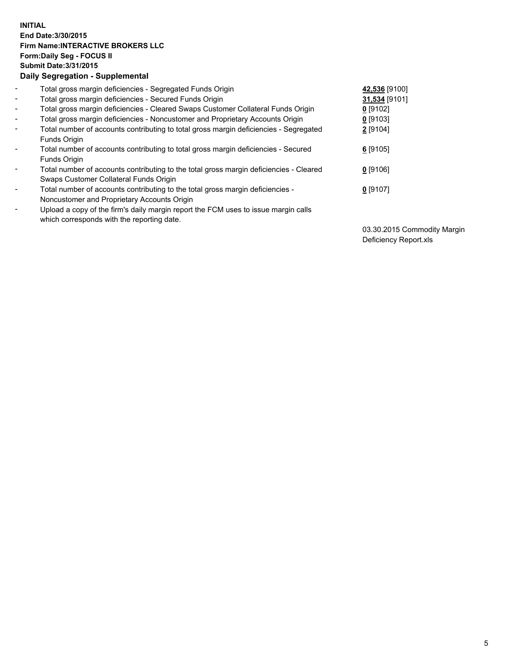## **INITIAL End Date:3/30/2015 Firm Name:INTERACTIVE BROKERS LLC Form:Daily Seg - FOCUS II Submit Date:3/31/2015 Daily Segregation - Supplemental**

| $\blacksquare$               | Total gross margin deficiencies - Segregated Funds Origin                                                                        | 42,536 [9100] |
|------------------------------|----------------------------------------------------------------------------------------------------------------------------------|---------------|
| $\blacksquare$               | Total gross margin deficiencies - Secured Funds Origin                                                                           | 31,534 [9101] |
| $\blacksquare$               | Total gross margin deficiencies - Cleared Swaps Customer Collateral Funds Origin                                                 | $0$ [9102]    |
| $\blacksquare$               | Total gross margin deficiencies - Noncustomer and Proprietary Accounts Origin                                                    | $0$ [9103]    |
| $\blacksquare$               | Total number of accounts contributing to total gross margin deficiencies - Segregated<br>Funds Origin                            | 2 [9104]      |
| $\overline{\phantom{a}}$     | Total number of accounts contributing to total gross margin deficiencies - Secured<br>Funds Origin                               | $6$ [9105]    |
| $\qquad \qquad \blacksquare$ | Total number of accounts contributing to the total gross margin deficiencies - Cleared<br>Swaps Customer Collateral Funds Origin | $0$ [9106]    |
| ۰                            | Total number of accounts contributing to the total gross margin deficiencies -<br>Noncustomer and Proprietary Accounts Origin    | $0$ [9107]    |
| $\overline{\phantom{a}}$     | Upload a copy of the firm's daily margin report the FCM uses to issue margin calls<br>which corresponds with the reporting date. |               |

03.30.2015 Commodity Margin Deficiency Report.xls